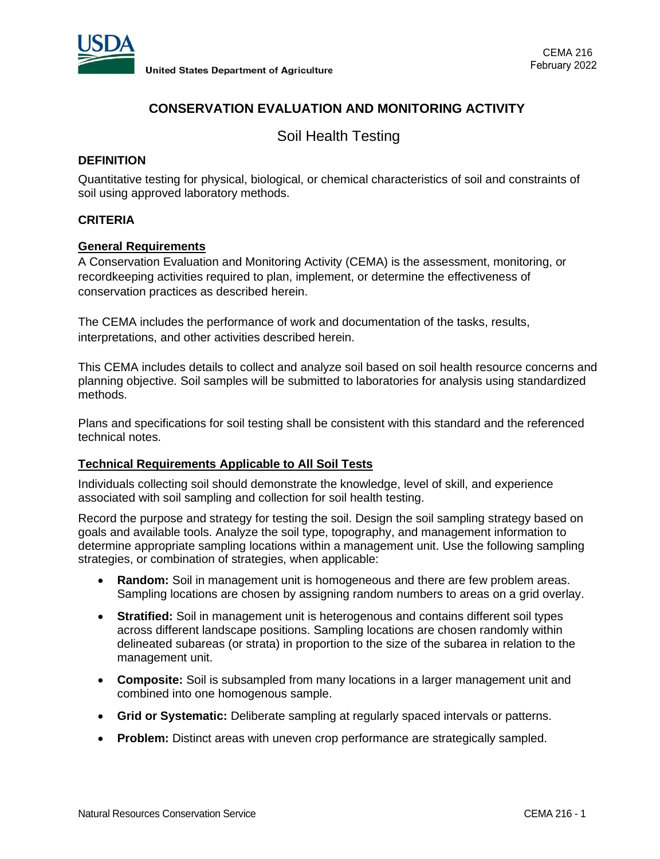

# **CONSERVATION EVALUATION AND MONITORING ACTIVITY**

Soil Health Testing

## **DEFINITION**

Quantitative testing for physical, biological, or chemical characteristics of soil and constraints of soil using approved laboratory methods.

## **CRITERIA**

## **General Requirements**

A Conservation Evaluation and Monitoring Activity (CEMA) is the assessment, monitoring, or recordkeeping activities required to plan, implement, or determine the effectiveness of conservation practices as described herein.

The CEMA includes the performance of work and documentation of the tasks, results, interpretations, and other activities described herein.

This CEMA includes details to collect and analyze soil based on soil health resource concerns and planning objective. Soil samples will be submitted to laboratories for analysis using standardized methods.

Plans and specifications for soil testing shall be consistent with this standard and the referenced technical notes.

## **Technical Requirements Applicable to All Soil Tests**

Individuals collecting soil should demonstrate the knowledge, level of skill, and experience associated with soil sampling and collection for soil health testing.

Record the purpose and strategy for testing the soil. Design the soil sampling strategy based on goals and available tools. Analyze the soil type, topography, and management information to determine appropriate sampling locations within a management unit. Use the following sampling strategies, or combination of strategies, when applicable:

- **Random:** Soil in management unit is homogeneous and there are few problem areas. Sampling locations are chosen by assigning random numbers to areas on a grid overlay.
- **Stratified:** Soil in management unit is heterogenous and contains different soil types across different landscape positions. Sampling locations are chosen randomly within delineated subareas (or strata) in proportion to the size of the subarea in relation to the management unit.
- **Composite:** Soil is subsampled from many locations in a larger management unit and combined into one homogenous sample.
- **Grid or Systematic:** Deliberate sampling at regularly spaced intervals or patterns.
- **Problem:** Distinct areas with uneven crop performance are strategically sampled.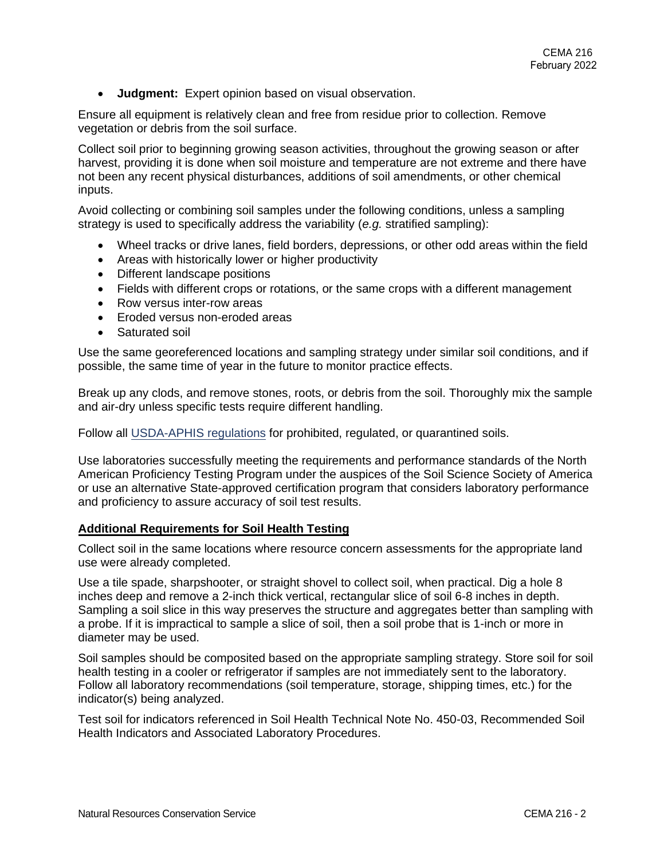• **Judgment:** Expert opinion based on visual observation.

Ensure all equipment is relatively clean and free from residue prior to collection. Remove vegetation or debris from the soil surface.

Collect soil prior to beginning growing season activities, throughout the growing season or after harvest, providing it is done when soil moisture and temperature are not extreme and there have not been any recent physical disturbances, additions of soil amendments, or other chemical inputs.

Avoid collecting or combining soil samples under the following conditions, unless a sampling strategy is used to specifically address the variability (*e.g.* stratified sampling):

- Wheel tracks or drive lanes, field borders, depressions, or other odd areas within the field
- Areas with historically lower or higher productivity
- Different landscape positions
- Fields with different crops or rotations, or the same crops with a different management
- Row versus inter-row areas
- Eroded versus non-eroded areas
- Saturated soil

Use the same georeferenced locations and sampling strategy under similar soil conditions, and if possible, the same time of year in the future to monitor practice effects.

Break up any clods, and remove stones, roots, or debris from the soil. Thoroughly mix the sample and air-dry unless specific tests require different handling.

Follow all [USDA-APHIS regulations](https://www.aphis.usda.gov/aphis/ourfocus/planthealth/import-information/permits/plant-pests/sa_soil/domestic-soil) for prohibited, regulated, or quarantined soils.

Use laboratories successfully meeting the requirements and performance standards of the North American Proficiency Testing Program under the auspices of the Soil Science Society of America or use an alternative State-approved certification program that considers laboratory performance and proficiency to assure accuracy of soil test results.

## **Additional Requirements for Soil Health Testing**

Collect soil in the same locations where resource concern assessments for the appropriate land use were already completed.

Use a tile spade, sharpshooter, or straight shovel to collect soil, when practical. Dig a hole 8 inches deep and remove a 2-inch thick vertical, rectangular slice of soil 6-8 inches in depth. Sampling a soil slice in this way preserves the structure and aggregates better than sampling with a probe. If it is impractical to sample a slice of soil, then a soil probe that is 1-inch or more in diameter may be used.

Soil samples should be composited based on the appropriate sampling strategy. Store soil for soil health testing in a cooler or refrigerator if samples are not immediately sent to the laboratory. Follow all laboratory recommendations (soil temperature, storage, shipping times, etc.) for the indicator(s) being analyzed.

Test soil for indicators referenced in Soil Health Technical Note No. 450-03, Recommended Soil Health Indicators and Associated Laboratory Procedures.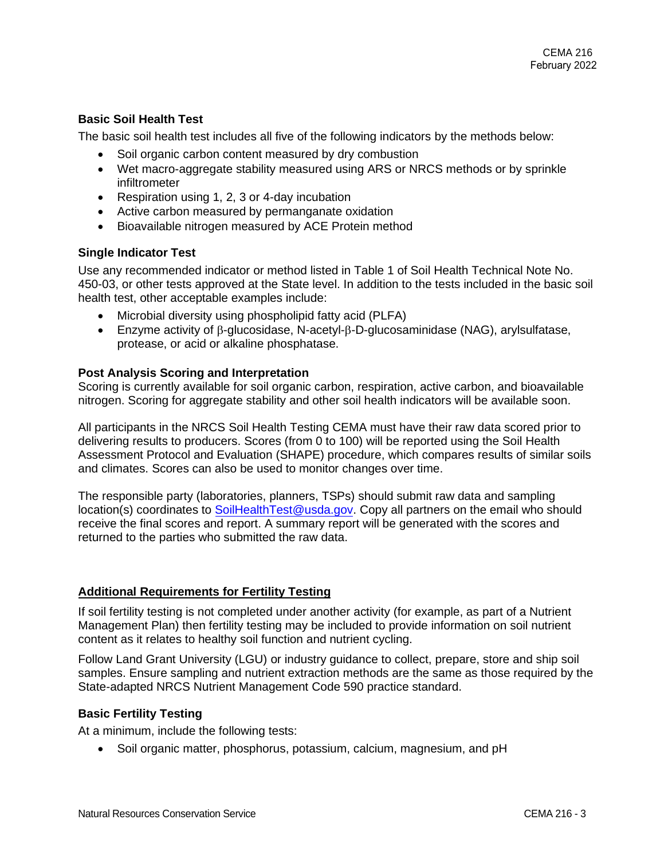## **Basic Soil Health Test**

The basic soil health test includes all five of the following indicators by the methods below:

- Soil organic carbon content measured by dry combustion
- Wet macro-aggregate stability measured using ARS or NRCS methods or by sprinkle infiltrometer
- Respiration using 1, 2, 3 or 4-day incubation
- Active carbon measured by permanganate oxidation
- Bioavailable nitrogen measured by ACE Protein method

## **Single Indicator Test**

Use any recommended indicator or method listed in Table 1 of Soil Health Technical Note No. 450-03, or other tests approved at the State level. In addition to the tests included in the basic soil health test, other acceptable examples include:

- Microbial diversity using phospholipid fatty acid (PLFA)
- Enzyme activity of  $\beta$ -glucosidase, N-acetyl- $\beta$ -D-glucosaminidase (NAG), arylsulfatase, protease, or acid or alkaline phosphatase.

## **Post Analysis Scoring and Interpretation**

Scoring is currently available for soil organic carbon, respiration, active carbon, and bioavailable nitrogen. Scoring for aggregate stability and other soil health indicators will be available soon.

All participants in the NRCS Soil Health Testing CEMA must have their raw data scored prior to delivering results to producers. Scores (from 0 to 100) will be reported using the Soil Health Assessment Protocol and Evaluation (SHAPE) procedure, which compares results of similar soils and climates. Scores can also be used to monitor changes over time.

The responsible party (laboratories, planners, TSPs) should submit raw data and sampling location(s) coordinates to **SoilHealthTest@usda.gov**. Copy all partners on the email who should receive the final scores and report. A summary report will be generated with the scores and returned to the parties who submitted the raw data.

## **Additional Requirements for Fertility Testing**

If soil fertility testing is not completed under another activity (for example, as part of a Nutrient Management Plan) then fertility testing may be included to provide information on soil nutrient content as it relates to healthy soil function and nutrient cycling.

Follow Land Grant University (LGU) or industry guidance to collect, prepare, store and ship soil samples. Ensure sampling and nutrient extraction methods are the same as those required by the State-adapted NRCS Nutrient Management Code 590 practice standard.

## **Basic Fertility Testing**

At a minimum, include the following tests:

• Soil organic matter, phosphorus, potassium, calcium, magnesium, and pH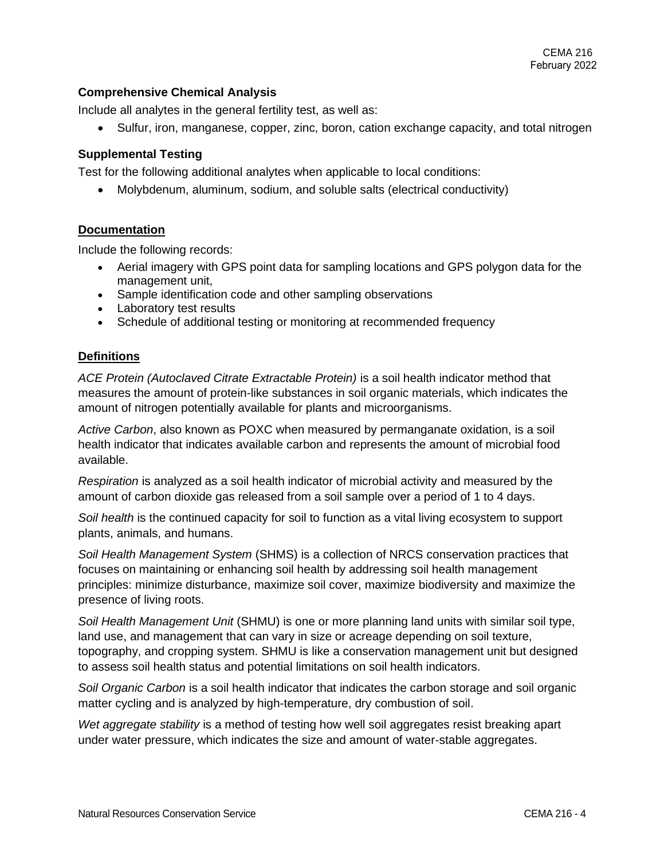## **Comprehensive Chemical Analysis**

Include all analytes in the general fertility test, as well as:

• Sulfur, iron, manganese, copper, zinc, boron, cation exchange capacity, and total nitrogen

## **Supplemental Testing**

Test for the following additional analytes when applicable to local conditions:

• Molybdenum, aluminum, sodium, and soluble salts (electrical conductivity)

## **Documentation**

Include the following records:

- Aerial imagery with GPS point data for sampling locations and GPS polygon data for the management unit,
- Sample identification code and other sampling observations
- Laboratory test results
- Schedule of additional testing or monitoring at recommended frequency

#### **Definitions**

*ACE Protein (Autoclaved Citrate Extractable Protein)* is a soil health indicator method that measures the amount of protein-like substances in soil organic materials, which indicates the amount of nitrogen potentially available for plants and microorganisms.

*Active Carbon*, also known as POXC when measured by permanganate oxidation, is a soil health indicator that indicates available carbon and represents the amount of microbial food available.

*Respiration* is analyzed as a soil health indicator of microbial activity and measured by the amount of carbon dioxide gas released from a soil sample over a period of 1 to 4 days.

*Soil health* is the continued capacity for soil to function as a vital living ecosystem to support plants, animals, and humans.

*Soil Health Management System* (SHMS) is a collection of NRCS conservation practices that focuses on maintaining or enhancing soil health by addressing soil health management principles: minimize disturbance, maximize soil cover, maximize biodiversity and maximize the presence of living roots.

*Soil Health Management Unit* (SHMU) is one or more planning land units with similar soil type, land use, and management that can vary in size or acreage depending on soil texture, topography, and cropping system. SHMU is like a conservation management unit but designed to assess soil health status and potential limitations on soil health indicators.

*Soil Organic Carbon* is a soil health indicator that indicates the carbon storage and soil organic matter cycling and is analyzed by high-temperature, dry combustion of soil.

*Wet aggregate stability* is a method of testing how well soil aggregates resist breaking apart under water pressure, which indicates the size and amount of water-stable aggregates.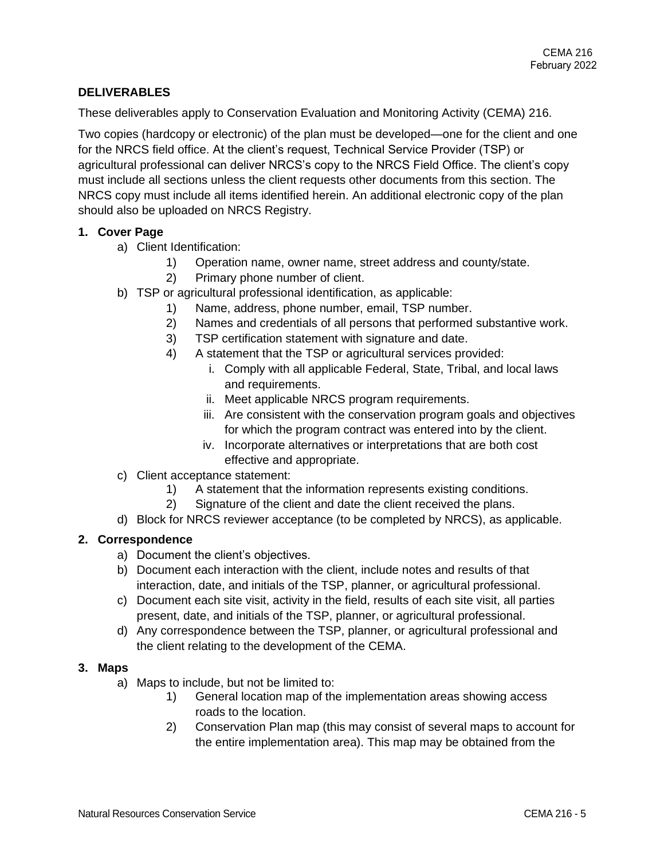## **DELIVERABLES**

These deliverables apply to Conservation Evaluation and Monitoring Activity (CEMA) 216.

Two copies (hardcopy or electronic) of the plan must be developed—one for the client and one for the NRCS field office. At the client's request, Technical Service Provider (TSP) or agricultural professional can deliver NRCS's copy to the NRCS Field Office. The client's copy must include all sections unless the client requests other documents from this section. The NRCS copy must include all items identified herein. An additional electronic copy of the plan should also be uploaded on NRCS Registry.

## **1. Cover Page**

- a) Client Identification:
	- 1) Operation name, owner name, street address and county/state.
	- 2) Primary phone number of client.
- b) TSP or agricultural professional identification, as applicable:
	- 1) Name, address, phone number, email, TSP number.
	- 2) Names and credentials of all persons that performed substantive work.
	- 3) TSP certification statement with signature and date.
	- 4) A statement that the TSP or agricultural services provided:
		- i. Comply with all applicable Federal, State, Tribal, and local laws and requirements.
			- ii. Meet applicable NRCS program requirements.
		- iii. Are consistent with the conservation program goals and objectives for which the program contract was entered into by the client.
		- iv. Incorporate alternatives or interpretations that are both cost effective and appropriate.
- c) Client acceptance statement:
	- 1) A statement that the information represents existing conditions.
	- 2) Signature of the client and date the client received the plans.
- d) Block for NRCS reviewer acceptance (to be completed by NRCS), as applicable.

## **2. Correspondence**

- a) Document the client's objectives.
- b) Document each interaction with the client, include notes and results of that interaction, date, and initials of the TSP, planner, or agricultural professional.
- c) Document each site visit, activity in the field, results of each site visit, all parties present, date, and initials of the TSP, planner, or agricultural professional.
- d) Any correspondence between the TSP, planner, or agricultural professional and the client relating to the development of the CEMA.

## **3. Maps**

- a) Maps to include, but not be limited to:
	- 1) General location map of the implementation areas showing access roads to the location.
	- 2) Conservation Plan map (this may consist of several maps to account for the entire implementation area). This map may be obtained from the